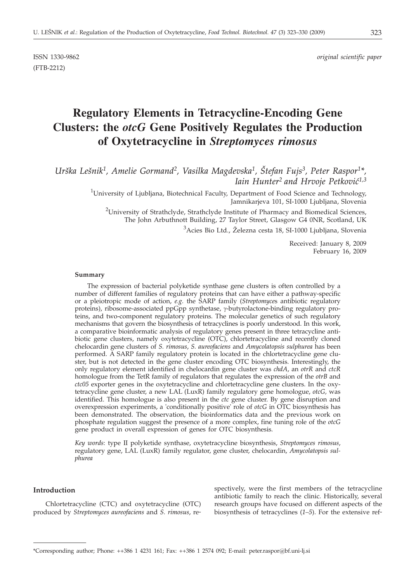(FTB-2212)

# **Regulatory Elements in Tetracycline-Encoding Gene Clusters: the** *otcG* **Gene Positively Regulates the Production of Oxytetracycline in** *Streptomyces rimosus*

*Ur{ka Le{nik1, Amelie Gormand2, Vasilka Magdevska1, [tefan Fujs3, Peter Raspor1\*, Iain Hunter<sup>2</sup> and Hrvoje Petković<sup>1,3</sup>* 

> <sup>1</sup>University of Ljubljana, Biotechnical Faculty, Department of Food Science and Technology, Jamnikarjeva 101, SI-1000 Ljubljana, Slovenia

 $^2$ University of Strathclyde, Strathclyde Institute of Pharmacy and Biomedical Sciences, The John Arbuthnott Building, 27 Taylor Street, Glasgow G4 0NR, Scotland, UK

<sup>3</sup>Acies Bio Ltd., Železna cesta 18, SI-1000 Ljubljana, Slovenia

Received: January 8, 2009 February 16, 2009

#### **Summary**

The expression of bacterial polyketide synthase gene clusters is often controlled by a number of different families of regulatory proteins that can have either a pathway-specific or a pleiotropic mode of action, *e.g.* the SARP family (*Streptomyce*s antibiotic regulatory proteins), ribosome-associated ppGpp synthetase, y-butyrolactone-binding regulatory proteins, and two-component regulatory proteins. The molecular genetics of such regulatory mechanisms that govern the biosynthesis of tetracyclines is poorly understood. In this work, a comparative bioinformatic analysis of regulatory genes present in three tetracycline antibiotic gene clusters, namely oxytetracycline (OTC), chlortetracycline and recently cloned chelocardin gene clusters of *S. rimosus*, *S. aureofaciens* and *Amycolatopsis sulphurea* has been performed. A SARP family regulatory protein is located in the chlortetracycline gene cluster, but is not detected in the gene cluster encoding OTC biosynthesis. Interestingly, the only regulatory element identified in chelocardin gene cluster was *chdA*, an *otrR* and *ctcR* homologue from the TetR family of regulators that regulates the expression of the *otrB* and *ctc05* exporter genes in the oxytetracycline and chlortetracycline gene clusters. In the oxytetracycline gene cluster, a new LAL (LuxR) family regulatory gene homologue, *otcG,* was identified. This homologue is also present in the *ctc* gene cluster. By gene disruption and overexpression experiments, a 'conditionally positive' role of *otcG* in OTC biosynthesis has been demonstrated. The observation, the bioinformatics data and the previous work on phosphate regulation suggest the presence of a more complex, fine tuning role of the *otcG* gene product in overall expression of genes for OTC biosynthesis.

*Key words*: type II polyketide synthase, oxytetracycline biosynthesis, *Streptomyces rimosus*, regulatory gene, LAL (LuxR) family regulator, gene cluster, chelocardin, *Amycolatopsis sulphurea*

# **Introduction**

Chlortetracycline (CTC) and oxytetracycline (OTC) produced by *Streptomyces aureofaciens* and *S. rimosus*, respectively, were the first members of the tetracycline antibiotic family to reach the clinic. Historically, several research groups have focused on different aspects of the biosynthesis of tetracyclines (*1–5*). For the extensive ref-

<sup>\*</sup>Corresponding author; Phone: ++386 1 4231 161; Fax: ++386 1 2574 092; E-mail: peter.raspor@bf.uni-lj.si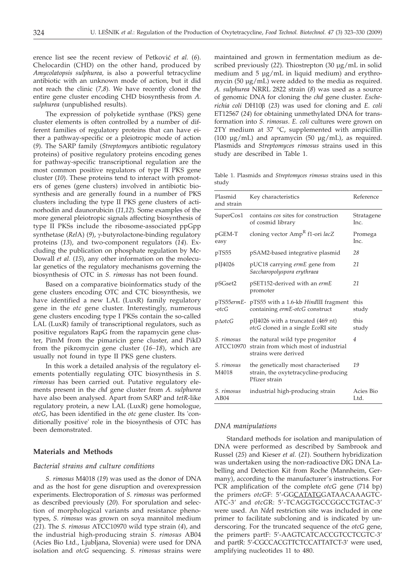erence list see the recent review of Petković et al. (6). Chelocardin (CHD) on the other hand, produced by *Amycolatopsis sulphurea,* is also a powerful tetracycline antibiotic with an unknown mode of action, but it did not reach the clinic (*7,8*). We have recently cloned the entire gene cluster encoding CHD biosynthesis from *A. sulphurea* (unpublished results).

The expression of polyketide synthase (PKS) gene cluster elements is often controlled by a number of different families of regulatory proteins that can have either a pathway-specific or a pleiotropic mode of action (*9*). The SARP family (*Streptomyce*s antibiotic regulatory proteins) of positive regulatory proteins encoding genes for pathway-specific transcriptional regulation are the most common positive regulators of type II PKS gene cluster (*10*). These proteins tend to interact with promoters of genes (gene clusters) involved in antibiotic biosynthesis and are generally found in a number of PKS clusters including the type II PKS gene clusters of actinorhodin and daunorubicin (*11,12*). Some examples of the more general pleiotropic signals affecting biosynthesis of type II PKSs include the ribosome-associated ppGpp synthetase (*RelA*) (9), γ-butyrolactone-binding regulatory proteins (*13*), and two-component regulators (*14*). Excluding the publication on phosphate regulation by Mc-Dowall *et al.* (*15*), any other information on the molecular genetics of the regulatory mechanisms governing the biosynthesis of OTC in *S. rimosus* has not been found.

Based on a comparative bioinformatics study of the gene clusters encoding OTC and CTC biosynthesis, we have identified a new LAL (LuxR) family regulatory gene in the *otc* gene cluster. Interestingly, numerous gene clusters encoding type I PKSs contain the so-called LAL (LuxR) family of transcriptional regulators, such as positive regulators RapG from the rapamycin gene cluster, PimM from the pimaricin gene cluster, and PikD from the pikromycin gene cluster (*16–18*), which are usually not found in type II PKS gene clusters.

In this work a detailed analysis of the regulatory elements potentially regulating OTC biosynthesis in *S. rimosus* has been carried out. Putative regulatory elements present in the *chd* gene cluster from *A. sulphurea* have also been analysed. Apart from SARP and *tetR*-like regulatory protein, a new LAL (LuxR) gene homologue, *otcG*, has been identified in the *otc* gene cluster. Its 'conditionally positive' role in the biosynthesis of OTC has been demonstrated.

# **Materials and Methods**

# *Bacterial strains and culture conditions*

*S. rimosus* M4018 (*19*) was used as the donor of DNA and as the host for gene disruption and overexpression experiments. Electroporation of *S. rimosus* was performed as described previously (*20*). For sporulation and selection of morphological variants and resistance phenotypes, *S. rimosus* was grown on soya mannitol medium (*21*). The *S. rimosus* ATCC10970 wild type strain (*4*), and the industrial high-producing strain *S. rimosus* AB04 (Acies Bio Ltd., Ljubljana, Slovenia) were used for DNA isolation and *otcG* sequencing. *S. rimosus* strains were

maintained and grown in fermentation medium as described previously (*22*). Thiostrepton (30 μg/mL in solid medium and 5 μg/mL in liquid medium) and erythromycin (50 μg/mL) were added to the media as required. *A. sulphurea* NRRL 2822 strain (*8*) was used as a source of genomic DNA for cloning the *chd* gene cluster. *Escherichia coli* DH10b (*23*) was used for cloning and *E. coli* ET12567 (*24*) for obtaining unmethylated DNA for transformation into *S. rimosus*. *E. coli* cultures were grown on 2TY medium at 37 °C, supplemented with ampicillin (100  $\mu$ g/mL) and apramycin (50  $\mu$ g/mL), as required. Plasmids and *Streptomyces rimosus* strains used in this study are described in Table 1.

Table 1. Plasmids and *Streptomyces rimosus* strains used in this study

| Plasmid<br>and strain   | Key characteristics                                                                              | Reference          |
|-------------------------|--------------------------------------------------------------------------------------------------|--------------------|
| SuperCos1               | contains cos sites for construction<br>of cosmid library                                         | Stratagene<br>Inc. |
| $pGEM-T$<br>easy        | cloning vector Amp <sup>R</sup> f1-ori lacZ                                                      | Promega<br>Inc.    |
| pTS55                   | pSAM2-based integrative plasmid                                                                  | 28                 |
| pIJ4026                 | pUC18 carrying ermE gene from<br>Saccharopolyspora erythraea                                     | 21                 |
| pSGset2                 | pSET152-derived with an ermE<br>promoter                                                         | 21                 |
| $-\alpha t c$           | pTS55ermE- pTS55 with a 1.6-kb HindIII fragment<br>containing ermE-otcG construct                | this<br>study      |
| $p\Delta otcG$          | pIJ4026 with a truncated (469 nt)<br><i>otcG</i> cloned in a single <i>EcoRI</i> site            | this<br>study      |
| S. rimosus<br>ATCC10970 | the natural wild type progenitor<br>strain from which most of industrial<br>strains were derived | 4                  |
| S. rimosus<br>M4018     | the genetically most characterised<br>strain, the oxytetracycline-producing<br>Pfizer strain     | 19                 |
| S. rimosus<br>AB04      | industrial high-producing strain                                                                 | Acies Bio<br>Ltd.  |

# *DNA manipulations*

Standard methods for isolation and manipulation of DNA were performed as described by Sambrook and Russel (*25*) and Kieser *et al.* (*21*). Southern hybridization was undertaken using the non-radioactive DIG DNA Labelling and Detection Kit from Roche (Mannheim, Germany), according to the manufacturer's instructions. For PCR amplification of the complete *otcG* gene (714 bp) the primers *otcG*F: 5'-GGCATATGGATAACAAAGTC-ATC-3' and *otcG*R: 5'-TCAGGTGCCGGCCTGTAC-3' were used. An *Nde*I restriction site was included in one primer to facilitate subcloning and is indicated by underscoring. For the truncated sequence of the *otcG* gene, the primers partF: 5'-AAGTCATCACCGTCCTCGTC-3' and partR: 5'-CGCCACGTTCTCCATTATCT-3' were used, amplifying nucleotides 11 to 480.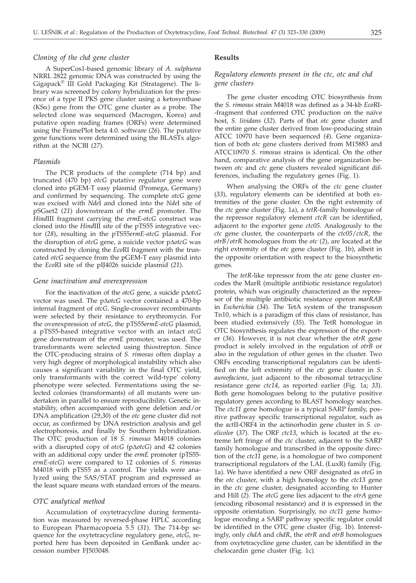#### *Cloning of the chd gene cluster*

A SuperCos1-based genomic library of *A. sulphurea* NRRL 2822 genomic DNA was constructed by using the Gigapack® III Gold Packaging Kit (Stratagene). The library was screened by colony hybridization for the presence of a type II PKS gene cluster using a ketosynthase (KSa) gene from the OTC gene cluster as a probe. The selected clone was sequenced (Macrogen, Korea) and putative open reading frames (ORFs) were determined using the FramePlot beta 4.0. software (*26*). The putative gene functions were determined using the BLASTx algorithm at the NCBI (*27*).

## *Plasmids*

The PCR products of the complete (714 bp) and truncated (470 bp) *otcG* putative regulator gene were cloned into pGEM-T easy plasmid (Promega, Germany) and confirmed by sequencing. The complete *otcG* gene was excised with *Nde*I and cloned into the *Nde*I site of pSGset2 (*21*) downstream of the *ermE* promoter. The *Hind*III fragment carrying the *ermE*-*otcG* construct was cloned into the *Hind*III site of the pTS55 integrative vector (*28*), resulting in the pTS55*ermE-otcG* plasmid. For the disruption of *otcG* gene, a suicide vector p∆*otcG* was constructed by cloning the *Eco*RI fragment with the truncated *otcG* sequence from the pGEM-T easy plasmid into the *Eco*RI site of the pIJ4026 suicide plasmid (*21*).

#### *Gene inactivation and overexpression*

For the inactivation of the *otcG* gene, a suicide p $\Delta$ *otcG* vector was used. The p $\triangle$ otcG vector contained a 470-bp internal fragment of *otcG*. Single-crossover recombinants were selected by their resistance to erythromycin. For the overexpression of *otcG*, the pTS55*ermE-otcG* plasmid, a pTS55-based integrative vector with an intact *otcG* gene downstream of the *ermE* promoter, was used. The transformants were selected using thiostrepton. Since the OTC-producing strains of *S. rimosus* often display a very high degree of morphological instability which also causes a significant variability in the final OTC yield, only transformants with the correct 'wild-type' colony phenotype were selected. Fermentations using the selected colonies (transformants) of all mutants were undertaken in parallel to ensure reproducibility. Genetic instability, often accompanied with gene deletion and/or DNA amplification (*29*,*30*) of the *otc* gene cluster did not occur, as confirmed by DNA restriction analysis and gel electrophoresis, and finally by Southern hybridization. The OTC production of 18 *S. rimosus* M4018 colonies with a disrupted copy of *otcG* (p $\Delta$ *otcG*) and 42 colonies with an additional copy under the *ermE* promoter (pTS55 *ermE-otcG*) were compared to 12 colonies of *S. rimosus* M4018 with pTS55 as a control. The yields were analyzed using the SAS/STAT program and expressed as the least square means with standard errors of the means.

#### *OTC analytical method*

Accumulation of oxytetracycline during fermentation was measured by reversed-phase HPLC according to European Pharmacopoeia 5.5 (*31*). The 714-bp sequence for the oxytetracycline regulatory gene, *otcG*, reported here has been deposited in GenBank under accession number FJ503048.

#### **Results**

# *Regulatory elements present in the ctc, otc and chd gene clusters*

The gene cluster encoding OTC biosynthesis from the *S. rimosus* strain M4018 was defined as a 34-kb *Eco*RI- -fragment that conferred OTC production on the naïve host, *S. lividans* (*32*)*.* Parts of that *otc* gene cluster and the entire gene cluster derived from low-producing strain ATCC 10970 have been sequenced (*4*). Gene organization of both *otc* gene clusters derived from M15883 and ATCC10970 *S. rimosus* strains is identical. On the other hand, comparative analysis of the gene organization between *otc* and *ctc* gene clusters revealed significant differences, including the regulatory genes (Fig. 1).

When analysing the ORFs of the *ctc* gene cluster (*33*), regulatory elements can be identified at both extremities of the gene cluster. On the right extremity of the *ctc* gene cluster (Fig. 1a), a *tetR*-family homologue of the repressor regulatory element *ctcR* can be identified, adjacent to the exporter gene *ctc05*. Analogously to the *ctc* gene cluster, the counterparts of the *ctc05*/*ctcR*, the *otrB*/*otrR* homologues from the *otc* (*2*), are located at the right extremity of the *otc* gene cluster (Fig. 1b), albeit in the opposite orientation with respect to the biosynthetic genes.

The *tetR*-like repressor from the *otc* gene cluster encodes the MarR (multiple antibiotic resistance regulator) protein, which was originally characterized as the repressor of the multiple antibiotic resistance operon *marRAB* in *Escherichia* (*34*). The TetA system of the transposon Tn10, which is a paradigm of this class of resistance, has been studied extensively (*35*). The TetR homologue in OTC biosynthesis regulates the expression of the exporter (*36*). However, it is not clear whether the *otrR* gene product is solely involved in the regulation of *otrB* or also in the regulation of other genes in the cluster. Two ORFs encoding transcriptional regulators can be identified on the left extremity of the *ctc* gene cluster in *S. aureofaciens*, just adjacent to the ribosomal tetracycline resistance gene *ctc14*, as reported earlier (Fig. 1a; *33*). Both gene homologues belong to the putative positive regulatory genes according to BLAST homology searches. The *ctc11* gene homologue is a typical SARP family, positive pathway specific transcriptional regulator, such as the *act*II-ORF4 in the actinorhodin gene cluster in *S. coelicolor* (*37*). The ORF *ctc13*, which is located at the extreme left fringe of the *ctc* cluster, adjacent to the SARP family homologue and transcribed in the opposite direction of the *ctc11* gene, is a homologue of two component transcriptional regulators of the LAL (LuxR) family (Fig. 1a). We have identified a new ORF designated as *otcG* in the *otc* cluster, with a high homology to the *ctc13* gene in the *ctc* gene cluster, designated according to Hunter and Hill (*2*). The *otcG* gene lies adjacent to the *otrA* gene (encoding ribosomal resistance) and it is expressed in the opposite orientation. Surprisingly, no *ctc11* gene homologue encoding a SARP pathway specific regulator could be identified in the OTC gene cluster (Fig. 1b). Interestingly, only *chdA* and *chdR*, the *otrR* and *otrB* homologues from oxytetracycline gene cluster, can be identified in the chelocardin gene cluster (Fig. 1c).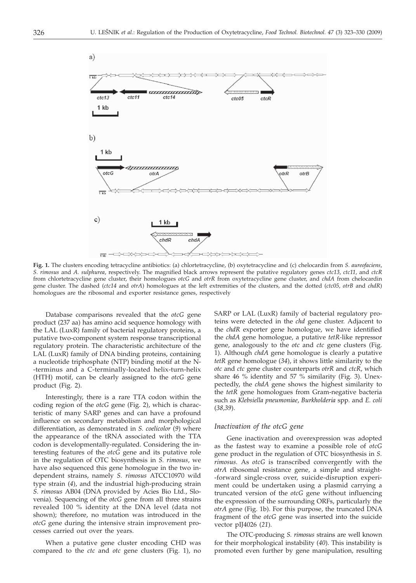

**Fig. 1.** The clusters encoding tetracycline antibiotics: (a) chlortetracycline, (b) oxytetracycline and (c) chelocardin from *S. aureofaciens*, *S. rimosus* and *A. sulphurea*, respectively. The magnified black arrows represent the putative regulatory genes *ctc13*, *ctc11*, and *ctcR* from chlortetracycline gene cluster, their homologues *otcG* and *otrR* from oxytetracycline gene cluster, and *chdA* from chelocardin gene cluster. The dashed (*ctc14* and *otrA*) homologues at the left extremities of the clusters, and the dotted (*ctc05, otrB* and *chdR*) homologues are the ribosomal and exporter resistance genes, respectively

Database comparisons revealed that the *otcG* gene product (237 aa) has amino acid sequence homology with the LAL (LuxR) family of bacterial regulatory proteins, a putative two-component system response transcriptional regulatory protein. The characteristic architecture of the LAL (LuxR) family of DNA binding proteins, containing a nucleotide triphosphate (NTP) binding motif at the N- -terminus and a C-terminally-located helix-turn-helix (HTH) motif, can be clearly assigned to the *otcG* gene product (Fig. 2).

Interestingly, there is a rare TTA codon within the coding region of the *otcG* gene (Fig. 2), which is characteristic of many SARP genes and can have a profound influence on secondary metabolism and morphological differentiation, as demonstrated in *S. coelicolor* (*9*) where the appearance of the tRNA associated with the TTA codon is developmentally-regulated. Considering the interesting features of the *otcG* gene and its putative role in the regulation of OTC biosynthesis in *S. rimosus*, we have also sequenced this gene homologue in the two independent strains, namely *S. rimosus* ATCC10970 wild type strain (*4*), and the industrial high-producing strain *S. rimosus* AB04 (DNA provided by Acies Bio Ltd., Slovenia). Sequencing of the *otcG* gene from all three strains revealed 100 % identity at the DNA level (data not shown); therefore, no mutation was introduced in the *otcG* gene during the intensive strain improvement processes carried out over the years.

When a putative gene cluster encoding CHD was compared to the *ctc* and *otc* gene clusters (Fig. 1), no SARP or LAL (LuxR) family of bacterial regulatory proteins were detected in the *chd* gene cluster. Adjacent to the *chdR* exporter gene homologue, we have identified the *chdA* gene homologue, a putative *tetR-*like repressor gene, analogously to the *otc* and *ctc* gene clusters (Fig. 1). Although *chdA* gene homologue is clearly a putative *tetR* gene homologue (*34*), it shows little similarity to the *otc* and *ctc* gene cluster counterparts *otrR* and *ctcR*, which share 46 % identity and 57 % similarity (Fig. 3). Unexpectedly, the *chdA* gene shows the highest similarity to the *tetR* gene homologues from Gram-negative bacteria such as *Klebsiella pneumoniae*, *Burkholderia* spp*.* and *E. coli* (*38,39*).

#### *Inactivation of the otcG gene*

Gene inactivation and overexpression was adopted as the fastest way to examine a possible role of *otcG* gene product in the regulation of OTC biosynthesis in *S. rimosus.* As *otcG* is transcribed convergently with the *otrA* ribosomal resistance gene, a simple and straight- -forward single-cross over, suicide-disruption experiment could be undertaken using a plasmid carrying a truncated version of the *otcG* gene without influencing the expression of the surrounding ORFs, particularly the *otrA* gene (Fig. 1b). For this purpose, the truncated DNA fragment of the *otcG* gene was inserted into the suicide vector pIJ4026 (*21*).

The OTC-producing *S. rimosus* strains are well known for their morphological instability (*40*). This instability is promoted even further by gene manipulation, resulting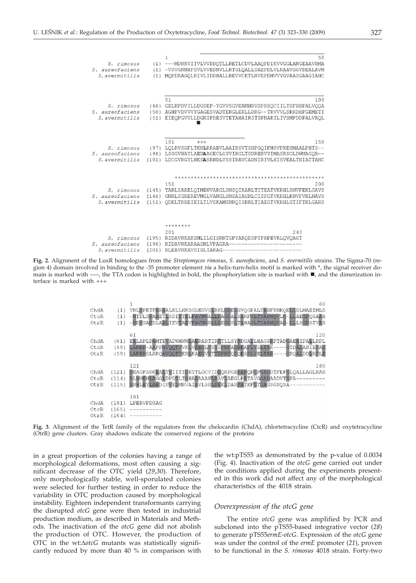| 50<br>$\mathbf{1}$                                                                                                  |       |                                  |
|---------------------------------------------------------------------------------------------------------------------|-------|----------------------------------|
| (1) ---MDNKVITVLVVDDOTLLRETLCDVLAAOPDIKVVGGLANGEAAVRMA<br>(1) -VSVGNNHPSVLVVEDNVLLRTGLOALLSAEPDLVLRAAVGGVDEALAVM    |       | S. rimosus<br>S. aureofaciens    |
| (1) MOPDRAGOLRIVLIDDHALLREVVCETLNVEPDMVVVGVAASGAAGIAHC                                                              |       | S. avermitilis                   |
|                                                                                                                     |       |                                  |
| 51<br>100                                                                                                           |       |                                  |
| (48) GELRPDVILLDGSEP-YGVVSGVEAMHRVSPRSOCIILTSFHHPALVOOA<br>(50) AGHPVDVVVYGAGESVADTERGLERLLDRG--TRVVVLSRRDHPGEMETY  |       | S. rimosus<br>S. aureofaciens    |
| EIEOPGVVLLDGNIPDESVTETAHAIRSTSPNARILIVSMPDDPALVROL                                                                  | (51)  | S.avermitilis                    |
| 101<br>150<br>$+++$                                                                                                 |       |                                  |
| (97) LOLRVSGFLTKNLRRAEVLAAIRSVTSHPGOIFMSVPKESMAALPHTS--                                                             |       | S. rimosus                       |
| (98) LSSGVHAYLAEDAAGECLGSVIRGLTSDRERVYIMASRSGLDWMAGOR--<br>(101) LDCGVRGYLNKSASRNDLVSSIRAVCADNIRIVLHISVEALTHIATTANC |       | S. aureofaciens<br>S.avermitilis |
|                                                                                                                     |       |                                  |
|                                                                                                                     |       |                                  |
| 151<br>200<br>(145) TARLSARELOIMENVARGLSNSOIAARLTITEATVKRHLSNVFEKLGAVS                                              |       | S. rimosus                       |
| (146) GNRLSGREREVMGLVANGLSNSAIAGRLCISPGTVKRHLRNVFVKLNAVS                                                            |       | S. aureofaciens                  |
| ODKLTRREIEILTLVSKAMSNROISRRLTIAEGTVKRHLGTIFTKLGARS                                                                  | (151) | S. avermitilis                   |
| ********                                                                                                            |       |                                  |
| 201<br>243                                                                                                          |       |                                  |
| (195) RIDAVNKAKSMLILGISRNTGPYARODSPYPRPEVRLOVOAGT                                                                   |       | S. rimosus                       |
| euroofeciens (196) RIDAVNKARAASMIVPACRA------------------------                                                     |       |                                  |

**Fig. 2**. Alignment of the LuxR homologues from the *Streptomyces rimosus*, *S. aureofaciens*, and *S. avermitilis* strains. The Sigma-70 (region 4) domain involved in binding to the -35 promoter element *via* a helix-turn-helix motif is marked with \*, the signal receiver domain is marked with —, the TTA codon is highlighted in bold, the phosphorylation site is marked with  $\blacksquare$ , and the dimerization interface is marked with +++

(201) RLEAVNKAVSIGLIARAG--

| ChdA<br>CtcR<br>OtrR | (1)<br>(1)<br>(1)       | 60<br>VRLSPETFARAALKLLNKSGLEGVSLRKLGDELGVOGPALYAHFKNKOELLDLMAEIMLD<br>-MTDLSPAAETLSDITTELFAVNGALLRAGDALSARFGLTSARWOVLG-LLAEGPOSAAH<br>-MDSSAPDLAALIEVTAEVFAVNGRLLREGDSLTAHAGLTSARWOVAG-LLLSGPSTVAR                |
|----------------------|-------------------------|-------------------------------------------------------------------------------------------------------------------------------------------------------------------------------------------------------------------|
| ChdA<br>CtcR<br>OtrR | (61)<br>(59)<br>(59)    | 120<br>61<br>ENLAPLDAMTEWADWHWWEARRARTIRRTLLSYNDGAELHAGSNPTADGAEZHIPAELRPL<br>LARER-AAPPAVOOTVVKLVEEGLVSTSPNFADRRAPLVSLTAK ---- GTDALARIEFAE<br>LARERGLRROAVOOTVERLKAEGVVTTRPNPODORSPLVELTAR----GROALDDLRPLE      |
| ChdA<br>CtcR<br>OtrR | (121)<br>(114)<br>(115) | 121<br>180<br><b>REAGFSDKEALTVIITIGRYTLGCVIDEQRPGEPAPQPGPGADDTFEFGLOALLAGLRAR</b><br>RLWMEHLAGGLDPDDLTGHAAAAAWLRAVLAEGLPPTAVGGADAADVTGPA---------<br>RRWLEYLAEDIPVEDMRVAIAVLSRLREKLDARPATEFGTGAGSGROSA----------- |
| ChdA<br>CtcR<br>OtrR | (181)<br>(165)<br>(164) | 181<br>LPERVPDSAG                                                                                                                                                                                                 |

**Fig. 3**. Alignment of the TetR family of the regulators from the chelocardin (ChdA), chlortetracycline (CtcR) and oxytetracycline (OtrR) gene clusters. Gray shadows indicate the conserved regions of the proteins

in a great proportion of the colonies having a range of morphological deformations, most often causing a significant decrease of the OTC yield (*29*,*30*). Therefore, only morphologically stable, well-sporulated colonies were selected for further testing in order to reduce the variability in OTC production caused by morphological instability. Eighteen independent transformants carrying the disrupted *otcG* gene were then tested in industrial production medium, as described in Materials and Methods. The inactivation of the *otcG* gene did not abolish the production of OTC. However, the production of OTC in the wt: $\Delta$ *otcG* mutants was statistically significantly reduced by more than 40 % in comparison with

S. avermitilis

the wt:pTS55 as demonstrated by the p-value of 0.0034 (Fig. 4). Inactivation of the *otcG* gene carried out under the conditions applied during the experiments presented in this work did not affect any of the morphological characteristics of the 4018 strain.

#### *Overexpression of the otcG gene*

The entire *otcG* gene was amplified by PCR and subcloned into the pTS55-based integrative vector (*28*) to generate pTS55*ermE-otcG*. Expression of the *otcG* gene was under the control of the *ermE* promoter (*21*), proven to be functional in the *S. rimosus* 4018 strain. Forty-two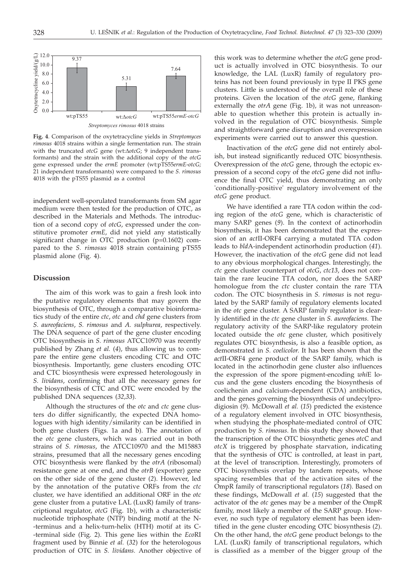

**Fig. 4**. Comparison of the oxytetracycline yields in *Streptomyces rimosus* 4018 strains within a single fermentation run. The strain with the truncated *otcG* gene (wt: $\Delta$ *otcG*; 9 independent transformants) and the strain with the additional copy of the *otcG* gene expressed under the *ermE* promoter (wt:pTS55*ermE*-*otcG;* 21 independent transformants) were compared to the *S. rimosus* 4018 with the pTS55 plasmid as a control

independent well-sporulated transformants from SM agar medium were then tested for the production of OTC, as described in the Materials and Methods. The introduction of a second copy of *otcG*, expressed under the constitutive promoter *ermE*, did not yield any statistically significant change in OTC production (p=0.1602) compared to the *S. rimosus* 4018 strain containing pTS55 plasmid alone (Fig. 4).

## **Discussion**

The aim of this work was to gain a fresh look into the putative regulatory elements that may govern the biosynthesis of OTC, through a comparative bioinformatics study of the entire *ctc*, *otc* and *chd* gene clusters from *S. aureofaciens*, *S. rimosus* and *A. sulphurea*, respectively. The DNA sequence of part of the gene cluster encoding OTC biosynthesis in *S. rimosus* ATCC10970 was recently published by Zhang *et al.* (*4*), thus allowing us to compare the entire gene clusters encoding CTC and OTC biosynthesis. Importantly, gene clusters encoding OTC and CTC biosynthesis were expressed heterologously in *S. lividans*, confirming that all the necessary genes for the biosynthesis of CTC and OTC were encoded by the published DNA sequences (*32,33*).

Although the structures of the *otc* and *ctc* gene clusters do differ significantly, the expected DNA homologues with high identity/similarity can be identified in both gene clusters (Figs. 1a and b). The annotation of the *otc* gene clusters, which was carried out in both strains of *S. rimosus*, the ATCC10970 and the M15883 strains, presumed that all the necessary genes encoding OTC biosynthesis were flanked by the *otrA* (ribosomal) resistance gene at one end, and the *otrB* (exporter) gene on the other side of the gene cluster (*2*). However, led by the annotation of the putative ORFs from the *ctc* cluster, we have identified an additional ORF in the *otc* gene cluster from a putative LAL (LuxR) family of transcriptional regulator, *otcG* (Fig. 1b), with a characteristic nucleotide triphosphate (NTP) binding motif at the N- -terminus and a helix-turn-helix (HTH) motif at its C- -terminal side (Fig. 2). This gene lies within the *Eco*RI fragment used by Binnie *et al.* (*32*) for the heterologous production of OTC in *S. lividans.* Another objective of

this work was to determine whether the *otcG* gene product is actually involved in OTC biosynthesis. To our knowledge, the LAL (LuxR) family of regulatory proteins has not been found previously in type II PKS gene clusters. Little is understood of the overall role of these proteins. Given the location of the *otcG* gene, flanking externally the *otrA* gene (Fig. 1b), it was not unreasonable to question whether this protein is actually involved in the regulation of OTC biosynthesis. Simple and straightforward gene disruption and overexpression experiments were carried out to answer this question.

Inactivation of the *otcG* gene did not entirely abolish, but instead significantly reduced OTC biosynthesis. Overexpression of the *otcG* gene, through the ectopic expression of a second copy of the *otcG* gene did not influence the final OTC yield, thus demonstrating an only 'conditionally-positive' regulatory involvement of the *otcG* gene product.

We have identified a rare TTA codon within the coding region of the *otcG* gene, which is characteristic of many SARP genes (*9*). In the context of actinorhodin biosynthesis, it has been demonstrated that the expression of an *act*II-ORF4 carrying a mutated TTA codon leads to *bld*A-independent actinorhodin production (*41*). However, the inactivation of the *otcG* gene did not lead to any obvious morphological changes. Interestingly, the *ctc* gene cluster counterpart of *otcG*, *ctc13*, does not contain the rare leucine TTA codon, nor does the SARP homologue from the *ctc* cluster contain the rare TTA codon. The OTC biosynthesis in *S. rimosus* is not regulated by the SARP family of regulatory elements located in the *otc* gene cluster. A SARP family regulator is clearly identified in the *ctc* gene cluster in *S. aureofaciens*. The regulatory activity of the SARP-like regulatory protein located outside the *otc* gene cluster, which positively regulates OTC biosynthesis, is also a feasible option, as demonstrated in *S. coelicolor*. It has been shown that the *act*II-ORF4 gene product of the SARP family, which is located in the actinorhodin gene cluster also influences the expression of the spore pigment-encoding *whi*E locus and the gene clusters encoding the biosynthesis of coelichenin and calcium-dependent (CDA) antibiotics, and the genes governing the biosynthesis of undecylprodigiosin (*9*). McDowall *et al.* (*15*) predicted the existence of a regulatory element involved in OTC biosynthesis, when studying the phosphate-mediated control of OTC production by *S. rimosus*. In this study they showed that the transcription of the OTC biosynthetic genes *otcC* and *otcX* is triggered by phosphate starvation, indicating that the synthesis of OTC is controlled, at least in part, at the level of transcription. Interestingly, promoters of OTC biosynthesis overlap by tandem repeats, whose spacing resembles that of the activation sites of the OmpR family of transcriptional regulators (*18*). Based on these findings, McDowall *et al.* (*15*) suggested that the activator of the *otc* genes may be a member of the OmpR family, most likely a member of the SARP group. However, no such type of regulatory element has been identified in the gene cluster encoding OTC biosynthesis (*2*). On the other hand, the *otcG* gene product belongs to the LAL (LuxR) family of transcriptional regulators, which is classified as a member of the bigger group of the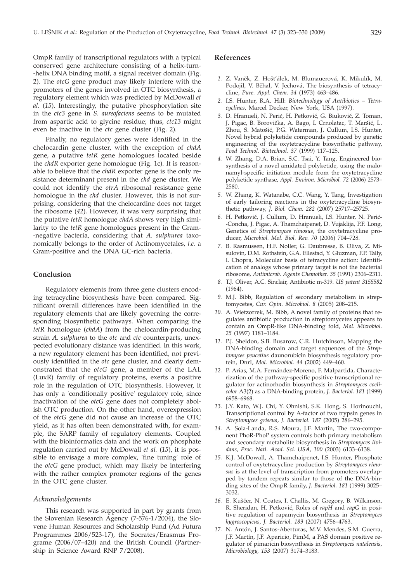OmpR family of transcriptional regulators with a typical conserved gene architecture consisting of a helix-turn- -helix DNA binding motif, a signal receiver domain (Fig. 2). The *otcG* gene product may likely interfere with the promoters of the genes involved in OTC biosynthesis, a regulatory element which was predicted by McDowall *et al.* (*15*). Interestingly, the putative phosphorylation site in the *ctc3* gene in *S. aureofaciens* seems to be mutated from aspartic acid to glycine residue; thus, *ctc13* might even be inactive in the *ctc* gene cluster (Fig. 2).

Finally, no regulatory genes were identified in the chelocardin gene cluster, with the exception of *chdA* gene, a putative *tetR* gene homologues located beside the *chdR* exporter gene homologue (Fig. 1c). It is reasonable to believe that the *chdR* exporter gene is the only resistance determinant present in the *chd* gene cluster. We could not identify the *otrA* ribosomal resistance gene homologue in the *chd* cluster. However, this is not surprising, considering that the chelocardine does not target the ribosome (*42*). However, it was very surprising that the putative *tetR* homologue *chdA* shows very high similarity to the *tetR* gene homologues present in the Gram- -negative bacteria, considering that *A. sulphurea* taxonomically belongs to the order of Actinomycetales, *i.e.* a Gram-positive and the DNA GC-rich bacteria.

# **Conclusion**

Regulatory elements from three gene clusters encoding tetracycline biosynthesis have been compared. Significant overall differences have been identified in the regulatory elements that are likely governing the corresponding biosynthetic pathways. When comparing the *tetR* homologue (*chdA*) from the chelocardin-producing strain *A. sulphurea* to the *otc* and *ctc* counterparts, unexpected evolutionary distance was identified. In this work, a new regulatory element has been identified, not previously identified in the *otc* gene cluster, and clearly demonstrated that the *otcG* gene, a member of the LAL (LuxR) family of regulatory proteins, exerts a positive role in the regulation of OTC biosynthesis. However, it has only a 'conditionally positive' regulatory role, since inactivation of the *otcG* gene does not completely abolish OTC production. On the other hand, overexpression of the *otcG* gene did not cause an increase of the OTC yield, as it has often been demonstrated with, for example, the SARP family of regulatory elements. Coupled with the bioinformatics data and the work on phosphate regulation carried out by McDowall *et al.* (*15*), it is possible to envisage a more complex, 'fine tuning' role of the *otcG* gene product, which may likely be interfering with the rather complex promoter regions of the genes in the OTC gene cluster.

# *Acknowledgements*

This research was supported in part by grants from the Slovenian Research Agency (7-576-1/2004), the Slovene Human Resources and Scholarship Fund (Ad Futura Programmes 2006/523-17), the Socrates/Erasmus Programe (2006/07–420) and the British Council (Partnership in Science Award RNP 7/2008).

#### **References**

- 1. Z. Vaněk, Z. Hošťálek, M. Blumauerová, K. Mikulík, M. Podojil, V. Běhal, V. Jechová, The biosynthesis of tetracycline, *Pure. Appl. Chem. 34* (1973) 463–486.
- *2.* I.S. Hunter, R.A. Hill: *Biotechnology of Antibiotics Tetracyclines,* Marcel Decker, New York, USA (1997).
- 3. D. Hranueli, N. Perić, H. Petković, G. Biuković, Z. Toman, J. Pigac, B. Borovička, A. Bago, I. Crnolatac, T. Maršić, L. Zhou, S. Matošić, P.G. Waterman, J. Cullum, I.S. Hunter, Novel hybrid polyketide compounds produced by genetic engineering of the oxytetracycline biosynthetic pathway, *Food Technol. Biotechnol*. *37* (1999) 117–125.
- *4.* W. Zhang, D.A. Brian, S.C. Tsai, Y. Tang, Engineered biosynthesis of a novel amidated polyketide, using the malonamyl-specific initiation module from the oxytetracycline polyketide synthase, *Appl. Environ. Microbiol. 72* (2006) 2573– 2580.
- *5.* W. Zhang, K. Watanabe, C.C. Wang, Y. Tang, Investigation of early tailoring reactions in the oxytetracycline biosynthetic pathway, *J. Biol. Chem. 282* (2007) 25717–25725.
- 6. H. Petković, J. Cullum, D. Hranueli, I.S. Hunter, N. Perić--Concha, J. Pigac, A. Thamchaipenet, D. Vujaklija, P.F. Long, Genetics of *Streptomyces rimosus*, the oxytetracycline producer, *Microbiol. Mol. Biol. Rev. 70* (2006) 704–728.
- *7.* B. Rasmussen, H.F. Noller, G. Daubresse, B. Oliva, Z. Misulovin, D.M. Rothstein, G.A. Ellestad, Y. Gluzman, F.P. Tally, I. Chopra, Molecular basis of tetracycline action: Identification of analogs whose primary target is not the bacterial ribosome, *Antimicrob. Agents Chemother. 35* (1991) 2306–2311.
- *8.* T.J. Oliver, A.C. Sinclair, Antibiotic m-319. *US patent 3155582* (1964).
- *9.* M.J. Bibb, Regulation of secondary metabolism in streptomycetes, *Cur. Opin. Microbiol. 8* (2005) 208–215.
- *10.* A. Wietzorrek, M. Bibb, A novel family of proteins that regulates antibiotic production in streptomycetes appears to contain an OmpR-like DNA-binding fold, *Mol. Microbiol. 25* (1997) 1181–1184.
- *11.* P.J. Sheldon, S.B. Busarow, C.R. Hutchinson, Mapping the DNA-binding domain and target sequences of the *Streptomyces peucetius* daunorubicin biosynthesis regulatory protein, DnrI, *Mol. Microbiol. 44* (2002) 449–460.
- *12.* P. Arias, M.A. Fernández-Moreno, F. Malpartida, Characterization of the pathway-specific positive transcriptional regulator for actinorhodin biosynthesis in *Streptomyces coelicolor* A3(2) as a DNA-binding protein, *J. Bacteriol. 181* (1999) 6958–6968.
- *13.* J.Y. Kato, W.J. Chi, Y. Ohnishi, S.K. Hong, S. Horinouchi, Transcriptional control by A-factor of two trypsin genes in *Streptomyces griseus*, *J. Bacteriol. 187* (2005) 286–295.
- *14.* A. Sola-Landa, R.S. Moura, J.F. Martin, The two-component PhoR-PhoP system controls both primary metabolism and secondary metabolite biosynthesis in *Streptomyces lividans, Proc. Natl. Acad. Sci. USA, 100* (2003) 6133–6138.
- *15.* K.J. McDowall, A. Thamchaipenet, I.S. Hunter, Phosphate control of oxytetracycline production by *Streptomyces rimosus* is at the level of transcription from promoters overlapped by tandem repeats similar to those of the DNA-binding sites of the OmpR family, *J. Bacteriol. 181* (1999) 3025– 3032.
- 16. E. Kuščer, N. Coates, I. Challis, M. Gregory, B. Wilkinson, R. Sheridan, H. Petković, Roles of *rapH* and *rapG* in positive regulation of rapamycin biosynthesis in *Streptomyces hygroscopicus*, *J. Bacteriol. 189* (2007) 4756–4763.
- *17.* N. Antón, J. Santos-Aberturas, M.V. Mendes, S.M. Guerra, J.F. Martín, J.F. Aparicio, PimM, a PAS domain positive regulator of pimaricin biosynthesis in *Streptomyces natalensis*, *Microbiology, 153* (2007) 3174–3183.